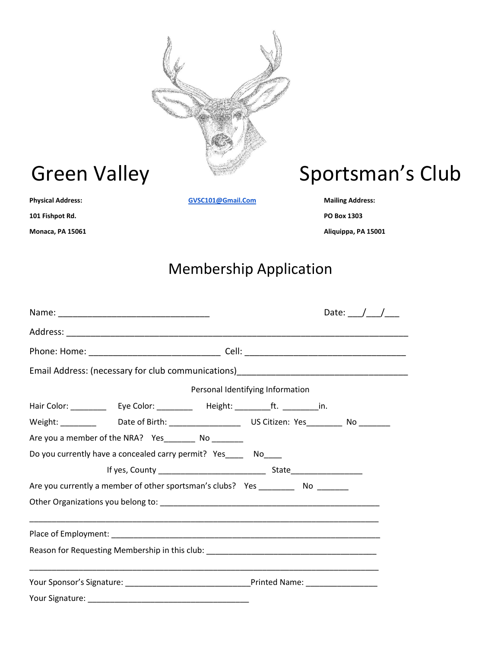

**101 Fishpot Rd. PO Box 1303**

**Physical Address: [GVSC101@Gmail.Com](mailto:GVSC101@Gmail.Com) Mailing Address:** 

# Green Valley Sportsman's Club

**Monaca, PA 15061 Aliquippa, PA 15001**

## Membership Application

|                                                                                      | Date: $/ /$ |
|--------------------------------------------------------------------------------------|-------------|
|                                                                                      |             |
|                                                                                      |             |
| Email Address: (necessary for club communications)_______________________________    |             |
| Personal Identifying Information                                                     |             |
|                                                                                      |             |
|                                                                                      |             |
| Are you a member of the NRA? Yes_________ No ________                                |             |
| Do you currently have a concealed carry permit? Yes_____ No____                      |             |
|                                                                                      |             |
| Are you currently a member of other sportsman's clubs? Yes _____________ No ________ |             |
|                                                                                      |             |
|                                                                                      |             |
|                                                                                      |             |
| Reason for Requesting Membership in this club: _________________________________     |             |
|                                                                                      |             |
|                                                                                      |             |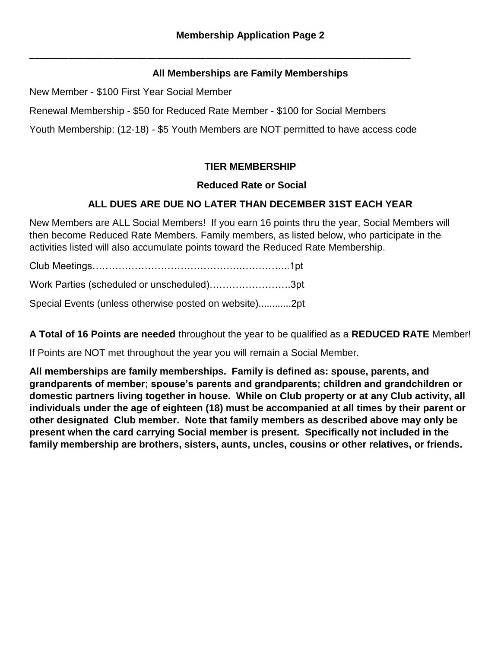#### **All Memberships are Family Memberships**

New Member - \$100 First Year Social Member

Renewal Membership - \$50 for Reduced Rate Member - \$100 for Social Members

Youth Membership: (12-18) - \$5 Youth Members are NOT permitted to have access code

\_\_\_\_\_\_\_\_\_\_\_\_\_\_\_\_\_\_\_\_\_\_\_\_\_\_\_\_\_\_\_\_\_\_\_\_\_\_\_\_\_\_\_\_\_\_\_\_\_\_\_\_\_\_\_\_\_\_\_\_\_\_\_\_\_\_\_\_\_\_\_\_\_\_\_\_\_\_

### **TIER MEMBERSHIP**

#### **Reduced Rate or Social**

#### **ALL DUES ARE DUE NO LATER THAN DECEMBER 31ST EACH YEAR**

New Members are ALL Social Members! If you earn 16 points thru the year, Social Members will then become Reduced Rate Members. Family members, as listed below, who participate in the activities listed will also accumulate points toward the Reduced Rate Membership.

Club Meetings……………………………………….…………...1pt Work Parties (scheduled or unscheduled)…………………….3pt Special Events (unless otherwise posted on website)............2pt

**A Total of 16 Points are needed** throughout the year to be qualified as a **REDUCED RATE** Member!

If Points are NOT met throughout the year you will remain a Social Member.

**All memberships are family memberships. Family is defined as: spouse, parents, and grandparents of member; spouse's parents and grandparents; children and grandchildren or domestic partners living together in house. While on Club property or at any Club activity, all individuals under the age of eighteen (18) must be accompanied at all times by their parent or other designated Club member. Note that family members as described above may only be present when the card carrying Social member is present. Specifically not included in the family membership are brothers, sisters, aunts, uncles, cousins or other relatives, or friends.**